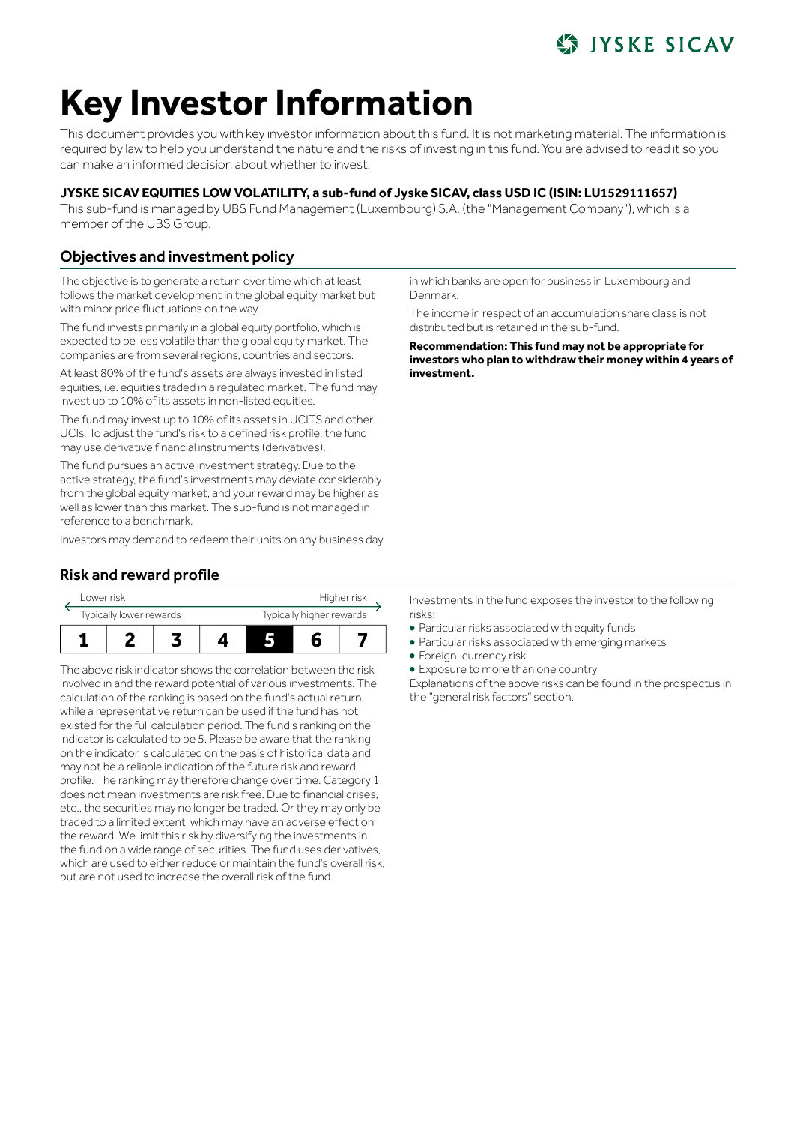## **IYSKE SICAV**

# **Key Investor Information**

This document provides you with key investor information about this fund. It is not marketing material. The information is required by law to help you understand the nature and the risks of investing in this fund. You are advised to read it so you can make an informed decision about whether to invest.

### **JYSKE SICAV EQUITIES LOW VOLATILITY, a sub-fund of Jyske SICAV, class USD IC (ISIN: LU1529111657)**

This sub-fund is managed by UBS Fund Management (Luxembourg) S.A. (the "Management Company"), which is a member of the UBS Group.

## Objectives and investment policy

The objective is to generate a return over time which at least follows the market development in the global equity market but with minor price fluctuations on the way.

The fund invests primarily in a global equity portfolio, which is expected to be less volatile than the global equity market. The companies are from several regions, countries and sectors.

At least 80% of the fund's assets are always invested in listed equities, i.e. equities traded in a regulated market. The fund may invest up to 10% of its assets in non-listed equities.

The fund may invest up to 10% of its assets in UCITS and other UCIs. To adjust the fund's risk to a defined risk profile, the fund may use derivative financial instruments (derivatives).

The fund pursues an active investment strategy. Due to the active strategy, the fund's investments may deviate considerably from the global equity market, and your reward may be higher as well as lower than this market. The sub-fund is not managed in reference to a benchmark.

Investors may demand to redeem their units on any business day

## Risk and reward profile



The above risk indicator shows the correlation between the risk involved in and the reward potential of various investments. The calculation of the ranking is based on the fund's actual return, while a representative return can be used if the fund has not existed for the full calculation period. The fund's ranking on the indicator is calculated to be 5. Please be aware that the ranking on the indicator is calculated on the basis of historical data and may not be a reliable indication of the future risk and reward profile. The ranking may therefore change over time. Category 1 does not mean investments are risk free. Due to financial crises, etc., the securities may no longer be traded. Or they may only be traded to a limited extent, which may have an adverse effect on the reward. We limit this risk by diversifying the investments in the fund on a wide range of securities. The fund uses derivatives, which are used to either reduce or maintain the fund's overall risk, but are not used to increase the overall risk of the fund.

in which banks are open for business in Luxembourg and Denmark.

The income in respect of an accumulation share class is not distributed but is retained in the sub-fund.

**Recommendation: This fund may not be appropriate for investors who plan to withdraw their money within 4 years of investment.**

Investments in the fund exposes the investor to the following risks:

- 5 Particular risks associated with equity funds
- 5 Particular risks associated with emerging markets
- Foreign-currency risk
- Exposure to more than one country

Explanations of the above risks can be found in the prospectus in the "general risk factors" section.